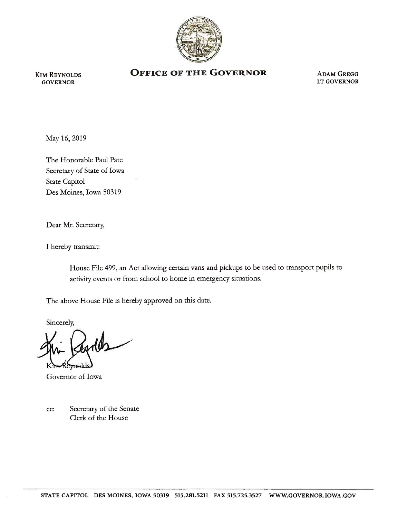

KIM REYNOLDS GOVERNOR

## **OFFICE OF THE GOVERNOR ADAM GREGG**

LT GOVERNOR

May 16, 2019

The Honorable Paul Pate Secretary of State of Iowa State Capitol Des Moines, Iowa 50319

Dear Mr. Secretary,

I hereby transmit:

House File 499, an Act allowing certain vans and pickups to be used to transport pupils to activity events or from school to home in emergency situations.

The above House File is hereby approved on this date.

Sincerely,

Byrlds

Governor of Iowa

cc: Secretary of the Senate Clerk of the House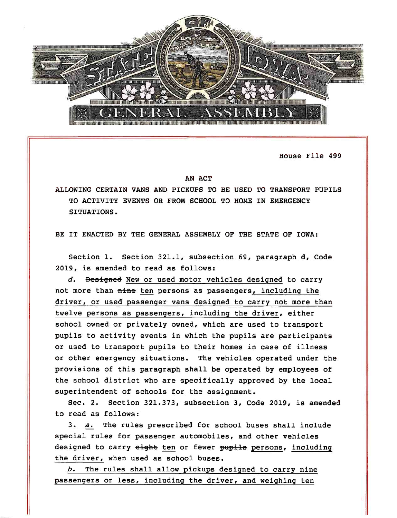

House File 499

## AN ACT

ALLOWING CERTAIN VANS AND PICKUPS TO BE USED TO TRANSPORT PUPILS TO ACTIVITY EVENTS OR FROM SCHOOL TO HOME IN EMERGENCY SITUATIONS.

BE IT ENACTED BY THE GENERAL ASSEMBLY OF THE STATE OF IOWA:

Section 1. Section 321.1, subsection 69, paragraph d, Code 2019, is amended to read as follows:

*d.* Desigaed New or used motor vehicles designed to carry not more than nine ten persons as passengers, including the driver, or used passenger vans designed to carry not more than twelve persons as passengers, including the driver, either school owned or privately owned, which are used to transport pupils to activity events in which the pupils are participants or used to transport pupils to their homes in case of illness or other emergency situations. The vehicles operated under the provisions of this paragraph shall be operated by employees of the school district who are specifically approved by the local superintendent of schools for the assignment.

Sec. 2. Section 321.373, subsection 3, Code 2019, is amended to read as follows:

3. *a.* The rules prescribed for school buses shall include special rules for passenger automobiles, and other vehicles designed to carry eight ten or fewer pupils persons, including the driver, when used as school buses.

*b.* The rules shall allow pickups designed to carry nine passengers or less, including the driver, and weighing ten